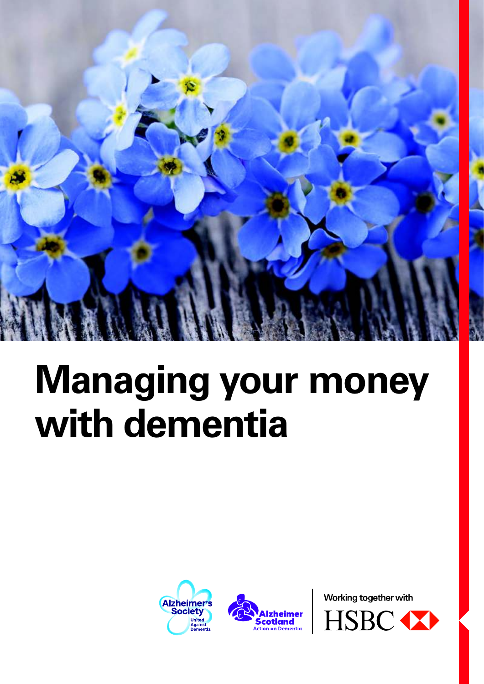

# **Managing your money with dementia**





Working together with

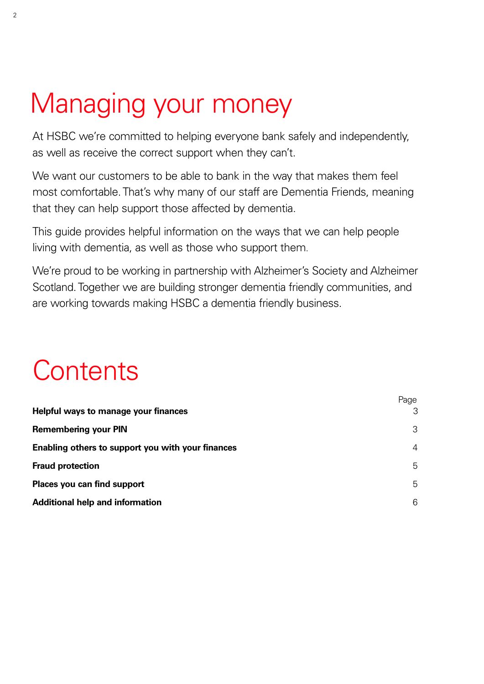### Managing your money

At HSBC we're committed to helping everyone bank safely and independently, as well as receive the correct support when they can't.

We want our customers to be able to bank in the way that makes them feel most comfortable. That's why many of our staff are Dementia Friends, meaning that they can help support those affected by dementia.

This guide provides helpful information on the ways that we can help people living with dementia, as well as those who support them.

We're proud to be working in partnership with Alzheimer's Society and Alzheimer Scotland. Together we are building stronger dementia friendly communities, and are working towards making HSBC a dementia friendly business.

### **Contents**

|                                                   | Page |
|---------------------------------------------------|------|
| Helpful ways to manage your finances              | 3    |
| <b>Remembering your PIN</b>                       | 3    |
| Enabling others to support you with your finances | 4    |
| <b>Fraud protection</b>                           | 5    |
| Places you can find support                       | 5    |
| <b>Additional help and information</b>            | 6    |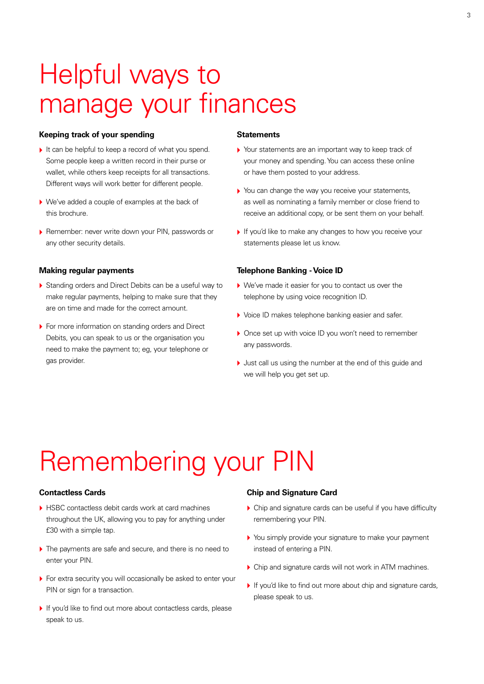### Helpful ways to manage your finances

#### **Keeping track of your spending**

- $\blacktriangleright$  It can be helpful to keep a record of what you spend. Some people keep a written record in their purse or wallet, while others keep receipts for all transactions. Different ways will work better for different people.
- ▶ We've added a couple of examples at the back of this brochure.
- **>** Remember: never write down your PIN, passwords or any other security details.

#### **Making regular payments**

- ▶ Standing orders and Direct Debits can be a useful way to make regular payments, helping to make sure that they are on time and made for the correct amount.
- ▶ For more information on standing orders and Direct Debits, you can speak to us or the organisation you need to make the payment to; eg, your telephone or gas provider.

#### **Statements**

- ` Your statements are an important way to keep track of your money and spending. You can access these online or have them posted to your address.
- $\blacktriangleright$  You can change the way you receive your statements, as well as nominating a family member or close friend to receive an additional copy, or be sent them on your behalf.
- If you'd like to make any changes to how you receive your statements please let us know.

#### **Telephone Banking - Voice ID**

- ▶ We've made it easier for you to contact us over the telephone by using voice recognition ID.
- ▶ Voice ID makes telephone banking easier and safer.
- ▶ Once set up with voice ID you won't need to remember any passwords.
- $\blacktriangleright$  Just call us using the number at the end of this guide and we will help you get set up.

### Remembering your PIN

#### **Contactless Cards**

- ▶ HSBC contactless debit cards work at card machines throughout the UK, allowing you to pay for anything under £30 with a simple tap.
- $\triangleright$  The payments are safe and secure, and there is no need to enter your PIN.
- ▶ For extra security you will occasionally be asked to enter your PIN or sign for a transaction.
- If you'd like to find out more about contactless cards, please speak to us.

#### **Chip and Signature Card**

- $\triangleright$  Chip and signature cards can be useful if you have difficulty remembering your PIN.
- You simply provide your signature to make your payment instead of entering a PIN.
- $\triangleright$  Chip and signature cards will not work in ATM machines.
- If you'd like to find out more about chip and signature cards, please speak to us.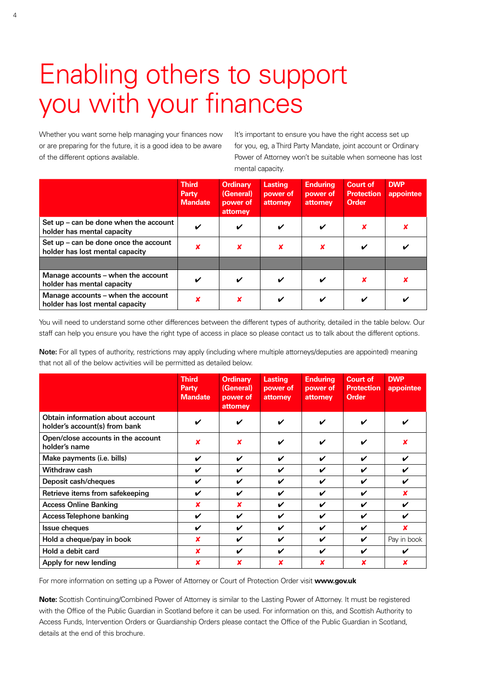### Enabling others to support you with your finances

Whether you want some help managing your finances now or are preparing for the future, it is a good idea to be aware of the different options available.

It's important to ensure you have the right access set up for you, eg, a Third Party Mandate, joint account or Ordinary Power of Attorney won't be suitable when someone has lost mental capacity.

|                                                                          | <b>Third</b><br>Party<br><b>Mandate</b> | <b>Ordinary</b><br>(General)<br>power of<br>attorney | <b>Lasting</b><br>power of<br>attorney | <b>Enduring</b><br>power of<br>attorney | <b>Court of</b><br><b>Protection</b><br><b>Order</b> | <b>DWP</b><br>appointee |
|--------------------------------------------------------------------------|-----------------------------------------|------------------------------------------------------|----------------------------------------|-----------------------------------------|------------------------------------------------------|-------------------------|
| Set up – can be done when the account<br>holder has mental capacity      | ✓                                       | V                                                    | ✓                                      | $\boldsymbol{\checkmark}$               |                                                      |                         |
| Set up – can be done once the account<br>holder has lost mental capacity | ×                                       | ×                                                    | x                                      | ×                                       | $\boldsymbol{\checkmark}$                            |                         |
|                                                                          |                                         |                                                      |                                        |                                         |                                                      |                         |
| Manage accounts – when the account<br>holder has mental capacity         | ✓                                       | ✓                                                    | ✓                                      | ✔                                       |                                                      |                         |
| Manage accounts – when the account<br>holder has lost mental capacity    | x                                       | ×                                                    | ✓                                      | ✓                                       | ✓                                                    |                         |

You will need to understand some other differences between the different types of authority, detailed in the table below. Our staff can help you ensure you have the right type of access in place so please contact us to talk about the different options.

**Note:** For all types of authority, restrictions may apply (including where multiple attorneys/deputies are appointed) meaning that not all of the below activities will be permitted as detailed below.

|                                                                   | <b>Third</b><br>Party<br><b>Mandate</b> | <b>Ordinary</b><br>(General)<br>power of<br>attorney | <b>Lasting</b><br>power of<br>attorney | <b>Enduring</b><br>power of<br>attorney | <b>Court of</b><br><b>Protection</b><br><b>Order</b> | <b>DWP</b><br>appointee |
|-------------------------------------------------------------------|-----------------------------------------|------------------------------------------------------|----------------------------------------|-----------------------------------------|------------------------------------------------------|-------------------------|
| Obtain information about account<br>holder's account(s) from bank | ✓                                       | ✔                                                    | ✔                                      | ✔                                       | ✔                                                    |                         |
| Open/close accounts in the account<br>holder's name               | x                                       | x                                                    | ✔                                      | ✔                                       | ✔                                                    |                         |
| Make payments (i.e. bills)                                        | ✓                                       | ✔                                                    | ✔                                      | ✔                                       | V                                                    | ✔                       |
| Withdraw cash                                                     | ✔                                       | ✔                                                    | ✔                                      | ✔                                       | V                                                    | ✔                       |
| Deposit cash/cheques                                              | ✔                                       | ✓                                                    | ✓                                      | ✓                                       | ✔                                                    | ✔                       |
| Retrieve items from safekeeping                                   | ✔                                       | ✔                                                    | ✔                                      | ✔                                       | ✔                                                    |                         |
| <b>Access Online Banking</b>                                      | x                                       | x                                                    | ✔                                      | V                                       | V                                                    | ✔                       |
| <b>Access Telephone banking</b>                                   | ✓                                       | ✔                                                    | ✔                                      | ✔                                       | ✔                                                    | ✔                       |
| Issue cheques                                                     | ✔                                       | ✔                                                    | ✔                                      | ✓                                       | ✔                                                    | x                       |
| Hold a cheque/pay in book                                         | x                                       | ✔                                                    | ✔                                      | ✔                                       | V                                                    | Pay in book             |
| Hold a debit card                                                 | ×                                       | ✔                                                    | ✔                                      | ✔                                       | ✔                                                    | ✔                       |
| Apply for new lending                                             | x                                       | x                                                    | x                                      | x                                       |                                                      | x                       |

For more information on setting up a Power of Attorney or Court of Protection Order visit **www.gov.uk**

**Note:** Scottish Continuing/Combined Power of Attorney is similar to the Lasting Power of Attorney. It must be registered with the Office of the Public Guardian in Scotland before it can be used. For information on this, and Scottish Authority to Access Funds, Intervention Orders or Guardianship Orders please contact the Office of the Public Guardian in Scotland, details at the end of this brochure.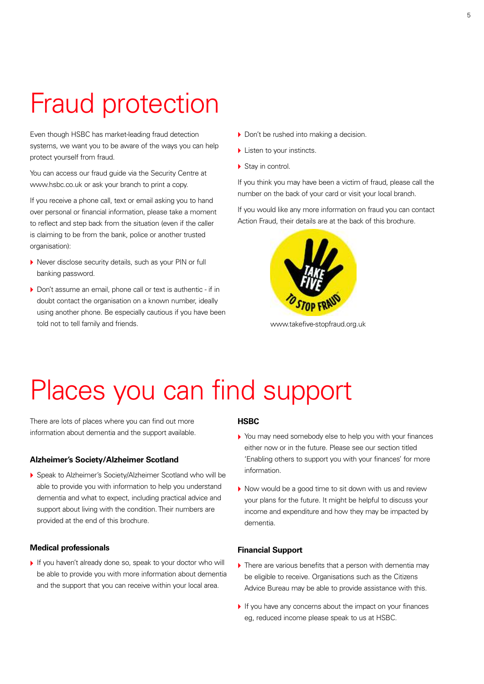### Fraud protection

Even though HSBC has market-leading fraud detection systems, we want you to be aware of the ways you can help protect yourself from fraud.

You can access our fraud guide via the Security Centre at www.hsbc.co.uk or ask your branch to print a copy.

If you receive a phone call, text or email asking you to hand over personal or financial information, please take a moment to reflect and step back from the situation (even if the caller is claiming to be from the bank, police or another trusted organisation):

- ` Never disclose security details, such as your PIN or full banking password.
- ▶ Don't assume an email, phone call or text is authentic if in doubt contact the organisation on a known number, ideally using another phone. Be especially cautious if you have been told not to tell family and friends.
- ▶ Don't be rushed into making a decision.
- $\blacktriangleright$  Listen to your instincts.
- $\triangleright$  Stay in control.

If you think you may have been a victim of fraud, please call the number on the back of your card or visit your local branch.

If you would like any more information on fraud you can contact Action Fraud, their details are at the back of this brochure.



www.takefive-stopfraud.org.uk

### Places you can find support

There are lots of places where you can find out more information about dementia and the support available.

#### **Alzheimer's Society/Alzheimer Scotland**

▶ Speak to Alzheimer's Society/Alzheimer Scotland who will be able to provide you with information to help you understand dementia and what to expect, including practical advice and support about living with the condition. Their numbers are provided at the end of this brochure.

#### **Medical professionals**

If you haven't already done so, speak to your doctor who will be able to provide you with more information about dementia and the support that you can receive within your local area.

#### **HSBC**

- ` You may need somebody else to help you with your finances either now or in the future. Please see our section titled 'Enabling others to support you with your finances' for more information.
- $\triangleright$  Now would be a good time to sit down with us and review your plans for the future. It might be helpful to discuss your income and expenditure and how they may be impacted by dementia.

#### **Financial Support**

- $\blacktriangleright$  There are various benefits that a person with dementia may be eligible to receive. Organisations such as the Citizens Advice Bureau may be able to provide assistance with this.
- $\blacktriangleright$  If you have any concerns about the impact on your finances eg, reduced income please speak to us at HSBC.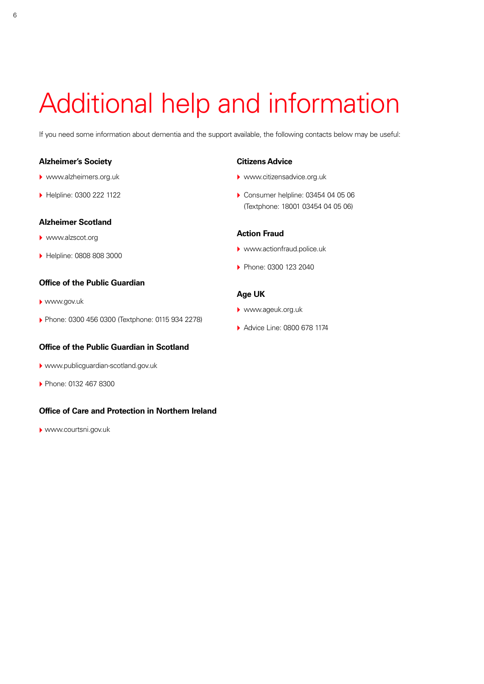### Additional help and information

If you need some information about dementia and the support available, the following contacts below may be useful:

#### **Alzheimer's Society**

- ` www.alzheimers.org.uk
- ` Helpline: 0300 222 1122

#### **Alzheimer Scotland**

- ` www.alzscot.org
- ▶ Helpline: 0808 808 3000

#### **Office of the Public Guardian**

- ` www.gov.uk
- ▶ Phone: 0300 456 0300 (Textphone: 0115 934 2278)

#### **Office of the Public Guardian in Scotland**

- ` www.publicguardian-scotland.gov.uk
- ` Phone: 0132 467 8300

#### **Office of Care and Protection in Northern Ireland**

` www.courtsni.gov.uk

#### **Citizens Advice**

- ▶ www.citizensadvice.org.uk
- ▶ Consumer helpline: 03454 04 05 06 (Textphone: 18001 03454 04 05 06)

#### **Action Fraud**

- ▶ www.actionfraud.police.uk
- **Phone: 0300 123 2040**

#### **Age UK**

- ` www.ageuk.org.uk
- ▶ Advice Line: 0800 678 1174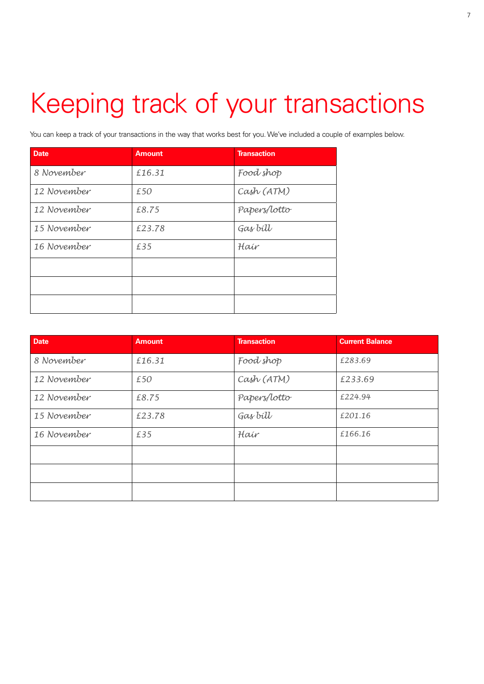## Keeping track of your transactions

You can keep a track of your transactions in the way that works best for you. We've included a couple of examples below.

| <b>Date</b> | <b>Amount</b> | <b>Transaction</b> |
|-------------|---------------|--------------------|
| 8 November  | £16.31        | Food shop          |
| 12 November | £50           | Cash (ATM)         |
| 12 November | £8.75         | Papers/lotto       |
| 15 November | £23.78        | Gas bill           |
| 16 November | £35           | Hair               |
|             |               |                    |
|             |               |                    |
|             |               |                    |

| <b>Date</b> | <b>Amount</b> | <b>Transaction</b> | <b>Current Balance</b> |
|-------------|---------------|--------------------|------------------------|
| 8 November  | £16.31        | Food shop          | £283.69                |
| 12 November | £50           | Cash (ATM)         | £233.69                |
| 12 November | £8.75         | Papers/lotto       | £224.94                |
| 15 November | £23.78        | Gas bill           | £201.16                |
| 16 November | £35           | Hair               | £166.16                |
|             |               |                    |                        |
|             |               |                    |                        |
|             |               |                    |                        |